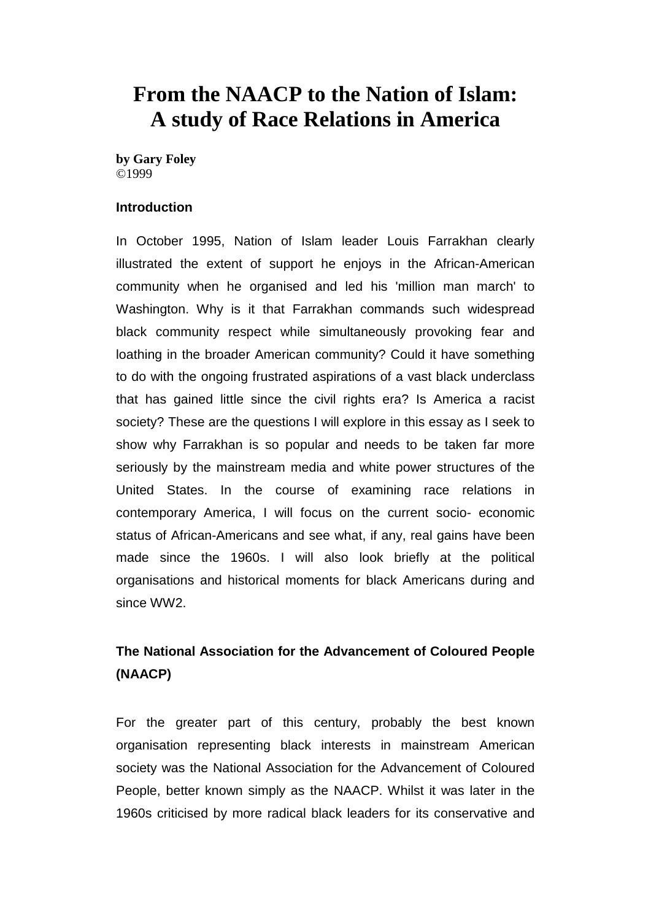# **From the NAACP to the Nation of Islam: A study of Race Relations in America**

**by Gary Foley** ©1999

# **Introduction**

In October 1995, Nation of Islam leader Louis Farrakhan clearly illustrated the extent of support he enjoys in the African-American community when he organised and led his 'million man march' to Washington. Why is it that Farrakhan commands such widespread black community respect while simultaneously provoking fear and loathing in the broader American community? Could it have something to do with the ongoing frustrated aspirations of a vast black underclass that has gained little since the civil rights era? Is America a racist society? These are the questions I will explore in this essay as I seek to show why Farrakhan is so popular and needs to be taken far more seriously by the mainstream media and white power structures of the United States. In the course of examining race relations in contemporary America, I will focus on the current socio- economic status of African-Americans and see what, if any, real gains have been made since the 1960s. I will also look briefly at the political organisations and historical moments for black Americans during and since WW2.

# **The National Association for the Advancement of Coloured People (NAACP)**

For the greater part of this century, probably the best known organisation representing black interests in mainstream American society was the National Association for the Advancement of Coloured People, better known simply as the NAACP. Whilst it was later in the 1960s criticised by more radical black leaders for its conservative and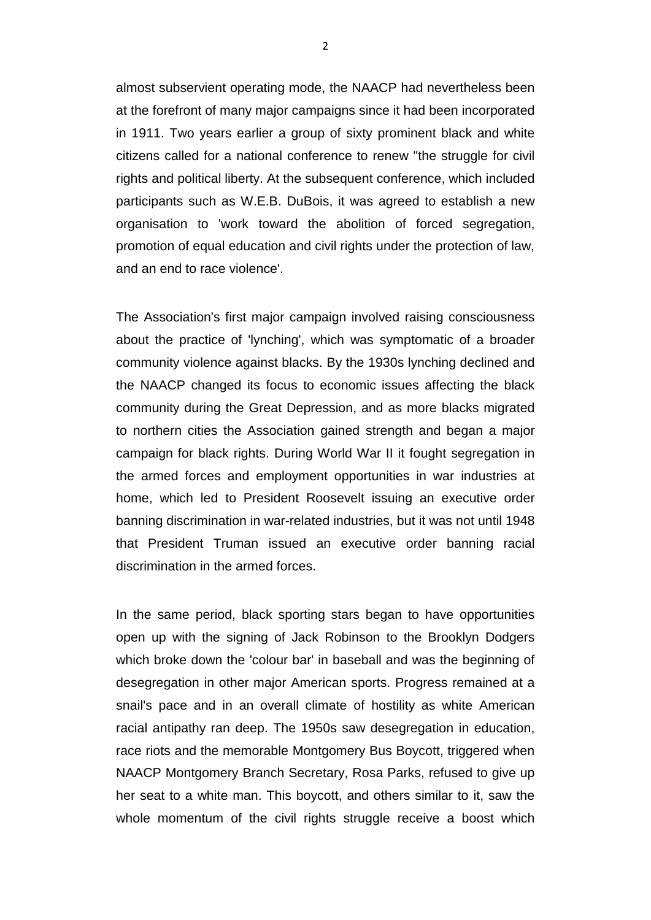almost subservient operating mode, the NAACP had nevertheless been at the forefront of many major campaigns since it had been incorporated in 1911. Two years earlier a group of sixty prominent black and white citizens called for a national conference to renew "the struggle for civil rights and political liberty. At the subsequent conference, which included participants such as W.E.B. DuBois, it was agreed to establish a new organisation to 'work toward the abolition of forced segregation, promotion of equal education and civil rights under the protection of law, and an end to race violence'.

The Association's first major campaign involved raising consciousness about the practice of 'lynching', which was symptomatic of a broader community violence against blacks. By the 1930s lynching declined and the NAACP changed its focus to economic issues affecting the black community during the Great Depression, and as more blacks migrated to northern cities the Association gained strength and began a major campaign for black rights. During World War II it fought segregation in the armed forces and employment opportunities in war industries at home, which led to President Roosevelt issuing an executive order banning discrimination in war-related industries, but it was not until 1948 that President Truman issued an executive order banning racial discrimination in the armed forces.

In the same period, black sporting stars began to have opportunities open up with the signing of Jack Robinson to the Brooklyn Dodgers which broke down the 'colour bar' in baseball and was the beginning of desegregation in other major American sports. Progress remained at a snail's pace and in an overall climate of hostility as white American racial antipathy ran deep. The 1950s saw desegregation in education, race riots and the memorable Montgomery Bus Boycott, triggered when NAACP Montgomery Branch Secretary, Rosa Parks, refused to give up her seat to a white man. This boycott, and others similar to it, saw the whole momentum of the civil rights struggle receive a boost which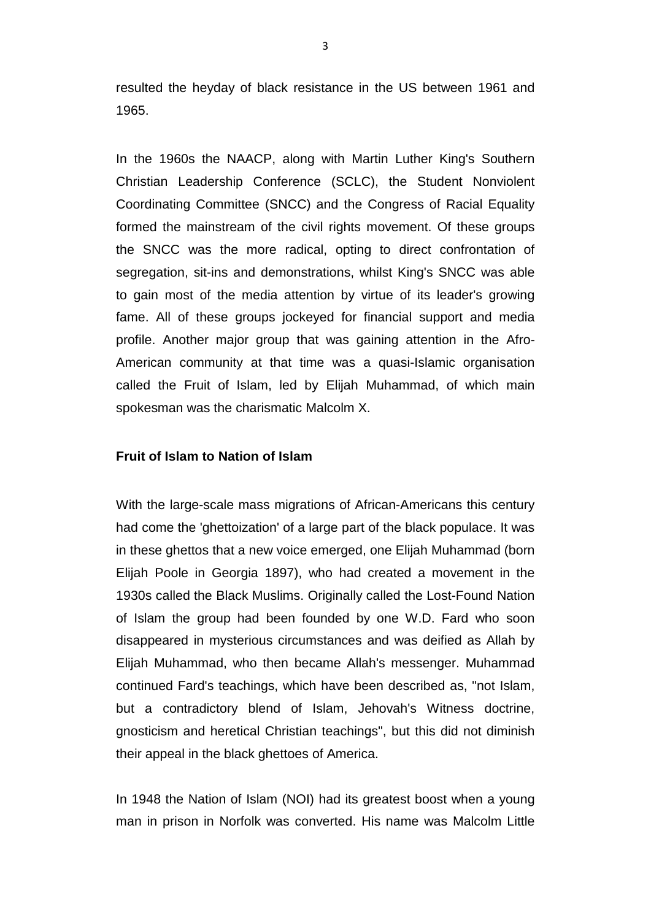resulted the heyday of black resistance in the US between 1961 and 1965.

In the 1960s the NAACP, along with Martin Luther King's Southern Christian Leadership Conference (SCLC), the Student Nonviolent Coordinating Committee (SNCC) and the Congress of Racial Equality formed the mainstream of the civil rights movement. Of these groups the SNCC was the more radical, opting to direct confrontation of segregation, sit-ins and demonstrations, whilst King's SNCC was able to gain most of the media attention by virtue of its leader's growing fame. All of these groups jockeyed for financial support and media profile. Another major group that was gaining attention in the Afro-American community at that time was a quasi-Islamic organisation called the Fruit of Islam, led by Elijah Muhammad, of which main spokesman was the charismatic Malcolm X.

## **Fruit of Islam to Nation of Islam**

With the large-scale mass migrations of African-Americans this century had come the 'ghettoization' of a large part of the black populace. It was in these ghettos that a new voice emerged, one Elijah Muhammad (born Elijah Poole in Georgia 1897), who had created a movement in the 1930s called the Black Muslims. Originally called the Lost-Found Nation of Islam the group had been founded by one W.D. Fard who soon disappeared in mysterious circumstances and was deified as Allah by Elijah Muhammad, who then became Allah's messenger. Muhammad continued Fard's teachings, which have been described as, "not Islam, but a contradictory blend of Islam, Jehovah's Witness doctrine, gnosticism and heretical Christian teachings", but this did not diminish their appeal in the black ghettoes of America.

In 1948 the Nation of Islam (NOI) had its greatest boost when a young man in prison in Norfolk was converted. His name was Malcolm Little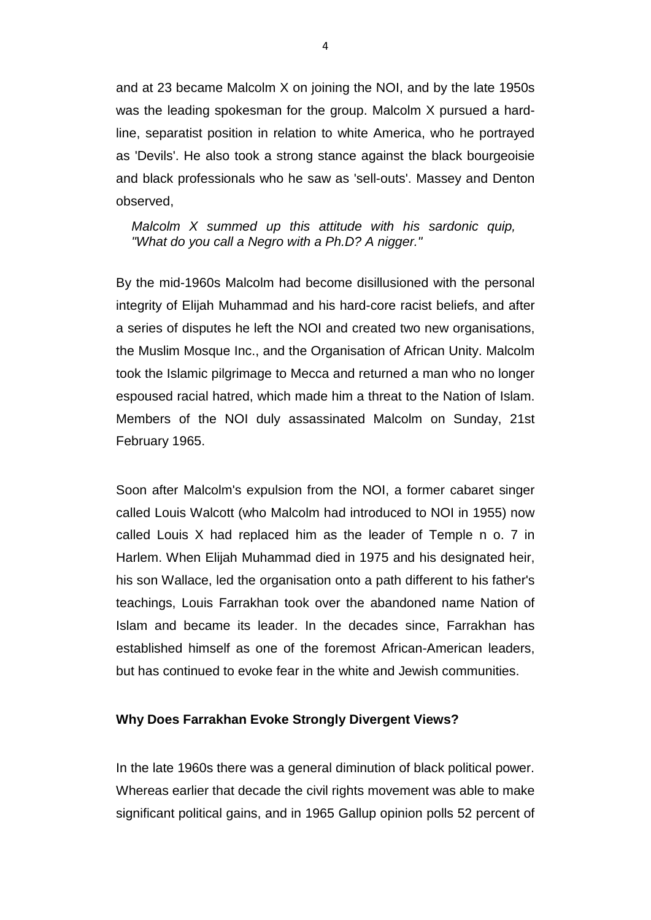and at 23 became Malcolm X on joining the NOI, and by the late 1950s was the leading spokesman for the group. Malcolm X pursued a hardline, separatist position in relation to white America, who he portrayed as 'Devils'. He also took a strong stance against the black bourgeoisie and black professionals who he saw as 'sell-outs'. Massey and Denton observed,

*Malcolm X summed up this attitude with his sardonic quip, "What do you call a Negro with a Ph.D? A nigger."*

By the mid-1960s Malcolm had become disillusioned with the personal integrity of Elijah Muhammad and his hard-core racist beliefs, and after a series of disputes he left the NOI and created two new organisations, the Muslim Mosque Inc., and the Organisation of African Unity. Malcolm took the Islamic pilgrimage to Mecca and returned a man who no longer espoused racial hatred, which made him a threat to the Nation of Islam. Members of the NOI duly assassinated Malcolm on Sunday, 21st February 1965.

Soon after Malcolm's expulsion from the NOI, a former cabaret singer called Louis Walcott (who Malcolm had introduced to NOI in 1955) now called Louis X had replaced him as the leader of Temple n o. 7 in Harlem. When Elijah Muhammad died in 1975 and his designated heir, his son Wallace, led the organisation onto a path different to his father's teachings, Louis Farrakhan took over the abandoned name Nation of Islam and became its leader. In the decades since, Farrakhan has established himself as one of the foremost African-American leaders, but has continued to evoke fear in the white and Jewish communities.

#### **Why Does Farrakhan Evoke Strongly Divergent Views?**

In the late 1960s there was a general diminution of black political power. Whereas earlier that decade the civil rights movement was able to make significant political gains, and in 1965 Gallup opinion polls 52 percent of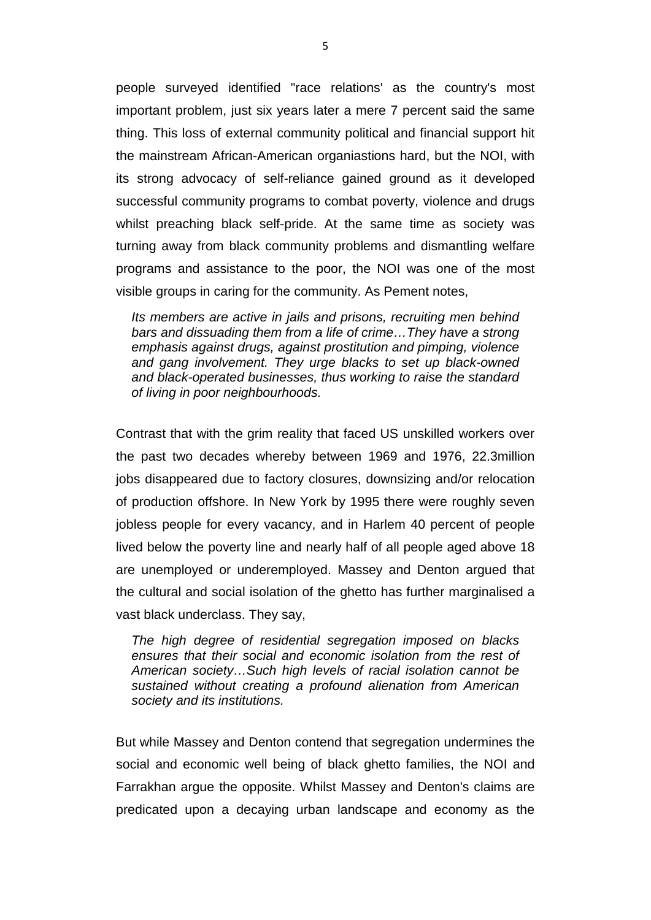people surveyed identified "race relations' as the country's most important problem, just six years later a mere 7 percent said the same thing. This loss of external community political and financial support hit the mainstream African-American organiastions hard, but the NOI, with its strong advocacy of self-reliance gained ground as it developed successful community programs to combat poverty, violence and drugs whilst preaching black self-pride. At the same time as society was turning away from black community problems and dismantling welfare programs and assistance to the poor, the NOI was one of the most visible groups in caring for the community. As Pement notes,

*Its members are active in jails and prisons, recruiting men behind bars and dissuading them from a life of crime…They have a strong emphasis against drugs, against prostitution and pimping, violence and gang involvement. They urge blacks to set up black-owned and black-operated businesses, thus working to raise the standard of living in poor neighbourhoods.*

Contrast that with the grim reality that faced US unskilled workers over the past two decades whereby between 1969 and 1976, 22.3million jobs disappeared due to factory closures, downsizing and/or relocation of production offshore. In New York by 1995 there were roughly seven jobless people for every vacancy, and in Harlem 40 percent of people lived below the poverty line and nearly half of all people aged above 18 are unemployed or underemployed. Massey and Denton argued that the cultural and social isolation of the ghetto has further marginalised a vast black underclass. They say,

*The high degree of residential segregation imposed on blacks ensures that their social and economic isolation from the rest of American society…Such high levels of racial isolation cannot be sustained without creating a profound alienation from American society and its institutions.*

But while Massey and Denton contend that segregation undermines the social and economic well being of black ghetto families, the NOI and Farrakhan argue the opposite. Whilst Massey and Denton's claims are predicated upon a decaying urban landscape and economy as the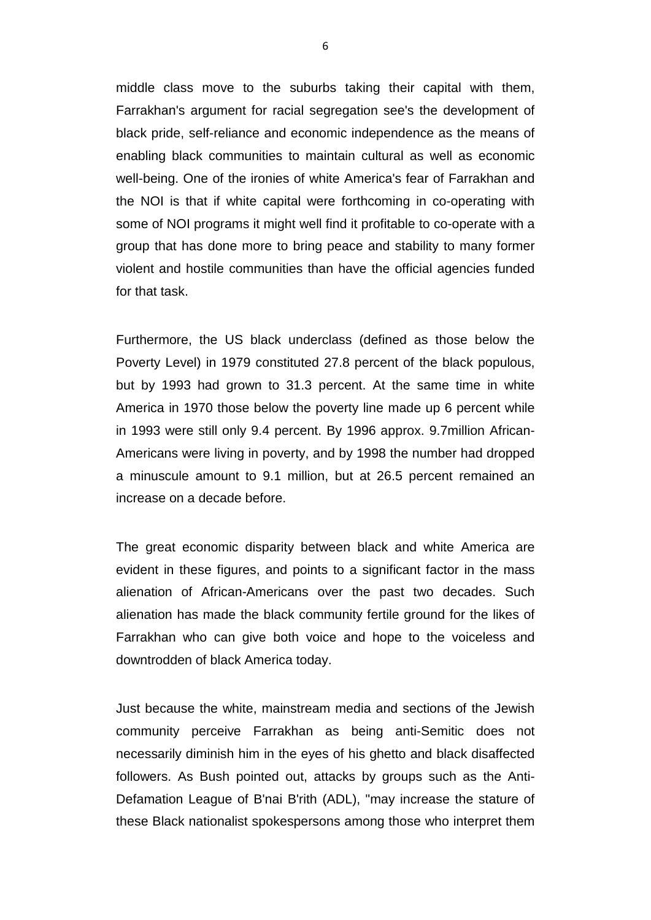middle class move to the suburbs taking their capital with them, Farrakhan's argument for racial segregation see's the development of black pride, self-reliance and economic independence as the means of enabling black communities to maintain cultural as well as economic well-being. One of the ironies of white America's fear of Farrakhan and the NOI is that if white capital were forthcoming in co-operating with some of NOI programs it might well find it profitable to co-operate with a group that has done more to bring peace and stability to many former violent and hostile communities than have the official agencies funded for that task.

Furthermore, the US black underclass (defined as those below the Poverty Level) in 1979 constituted 27.8 percent of the black populous, but by 1993 had grown to 31.3 percent. At the same time in white America in 1970 those below the poverty line made up 6 percent while in 1993 were still only 9.4 percent. By 1996 approx. 9.7million African-Americans were living in poverty, and by 1998 the number had dropped a minuscule amount to 9.1 million, but at 26.5 percent remained an increase on a decade before.

The great economic disparity between black and white America are evident in these figures, and points to a significant factor in the mass alienation of African-Americans over the past two decades. Such alienation has made the black community fertile ground for the likes of Farrakhan who can give both voice and hope to the voiceless and downtrodden of black America today.

Just because the white, mainstream media and sections of the Jewish community perceive Farrakhan as being anti-Semitic does not necessarily diminish him in the eyes of his ghetto and black disaffected followers. As Bush pointed out, attacks by groups such as the Anti-Defamation League of B'nai B'rith (ADL), "may increase the stature of these Black nationalist spokespersons among those who interpret them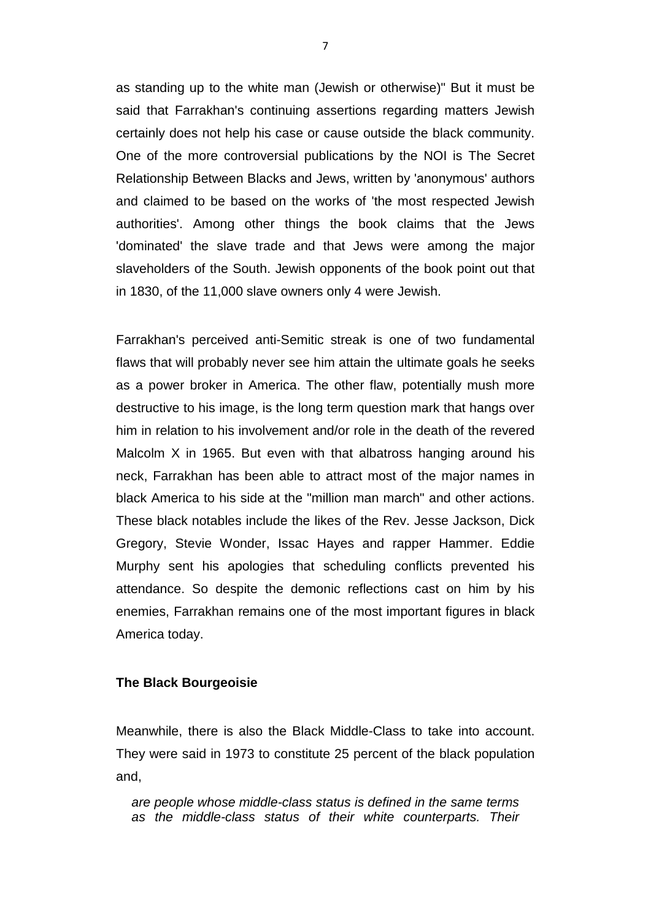as standing up to the white man (Jewish or otherwise)" But it must be said that Farrakhan's continuing assertions regarding matters Jewish certainly does not help his case or cause outside the black community. One of the more controversial publications by the NOI is The Secret Relationship Between Blacks and Jews, written by 'anonymous' authors and claimed to be based on the works of 'the most respected Jewish authorities'. Among other things the book claims that the Jews 'dominated' the slave trade and that Jews were among the major slaveholders of the South. Jewish opponents of the book point out that in 1830, of the 11,000 slave owners only 4 were Jewish.

Farrakhan's perceived anti-Semitic streak is one of two fundamental flaws that will probably never see him attain the ultimate goals he seeks as a power broker in America. The other flaw, potentially mush more destructive to his image, is the long term question mark that hangs over him in relation to his involvement and/or role in the death of the revered Malcolm X in 1965. But even with that albatross hanging around his neck, Farrakhan has been able to attract most of the major names in black America to his side at the "million man march" and other actions. These black notables include the likes of the Rev. Jesse Jackson, Dick Gregory, Stevie Wonder, Issac Hayes and rapper Hammer. Eddie Murphy sent his apologies that scheduling conflicts prevented his attendance. So despite the demonic reflections cast on him by his enemies, Farrakhan remains one of the most important figures in black America today.

## **The Black Bourgeoisie**

Meanwhile, there is also the Black Middle-Class to take into account. They were said in 1973 to constitute 25 percent of the black population and,

*are people whose middle-class status is defined in the same terms as the middle-class status of their white counterparts. Their*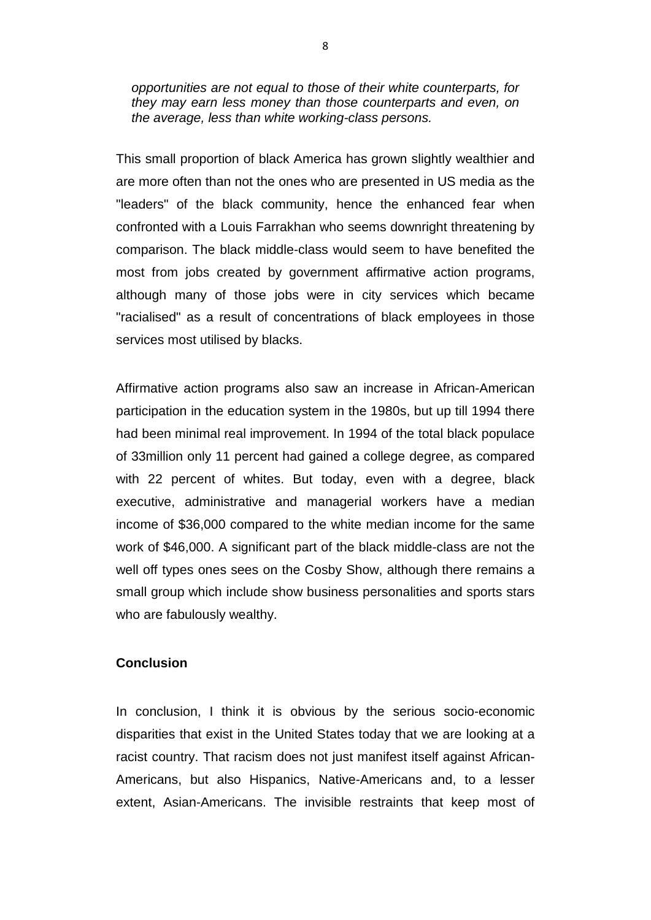*opportunities are not equal to those of their white counterparts, for they may earn less money than those counterparts and even, on the average, less than white working-class persons.*

This small proportion of black America has grown slightly wealthier and are more often than not the ones who are presented in US media as the "leaders" of the black community, hence the enhanced fear when confronted with a Louis Farrakhan who seems downright threatening by comparison. The black middle-class would seem to have benefited the most from jobs created by government affirmative action programs, although many of those jobs were in city services which became "racialised" as a result of concentrations of black employees in those services most utilised by blacks.

Affirmative action programs also saw an increase in African-American participation in the education system in the 1980s, but up till 1994 there had been minimal real improvement. In 1994 of the total black populace of 33million only 11 percent had gained a college degree, as compared with 22 percent of whites. But today, even with a degree, black executive, administrative and managerial workers have a median income of \$36,000 compared to the white median income for the same work of \$46,000. A significant part of the black middle-class are not the well off types ones sees on the Cosby Show, although there remains a small group which include show business personalities and sports stars who are fabulously wealthy.

# **Conclusion**

In conclusion, I think it is obvious by the serious socio-economic disparities that exist in the United States today that we are looking at a racist country. That racism does not just manifest itself against African-Americans, but also Hispanics, Native-Americans and, to a lesser extent, Asian-Americans. The invisible restraints that keep most of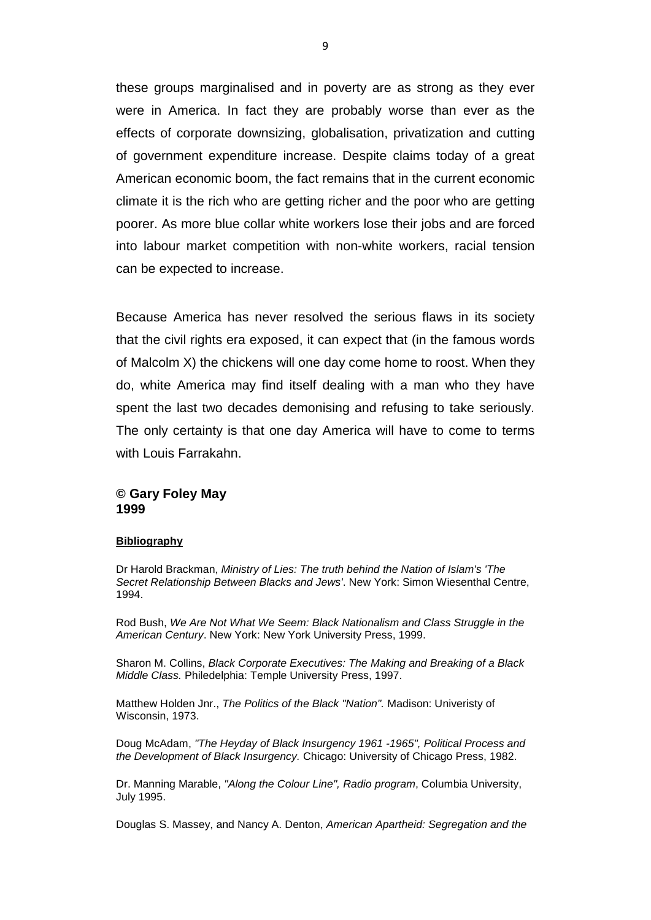these groups marginalised and in poverty are as strong as they ever were in America. In fact they are probably worse than ever as the effects of corporate downsizing, globalisation, privatization and cutting of government expenditure increase. Despite claims today of a great American economic boom, the fact remains that in the current economic climate it is the rich who are getting richer and the poor who are getting poorer. As more blue collar white workers lose their jobs and are forced into labour market competition with non-white workers, racial tension can be expected to increase.

Because America has never resolved the serious flaws in its society that the civil rights era exposed, it can expect that (in the famous words of Malcolm X) the chickens will one day come home to roost. When they do, white America may find itself dealing with a man who they have spent the last two decades demonising and refusing to take seriously. The only certainty is that one day America will have to come to terms with Louis Farrakahn.

#### **© Gary Foley May 1999**

#### **Bibliography**

Dr Harold Brackman, *Ministry of Lies: The truth behind the Nation of Islam's 'The Secret Relationship Between Blacks and Jews'*. New York: Simon Wiesenthal Centre, 1994.

Rod Bush, *We Are Not What We Seem: Black Nationalism and Class Struggle in the American Century*. New York: New York University Press, 1999.

Sharon M. Collins, *Black Corporate Executives: The Making and Breaking of a Black Middle Class.* Philedelphia: Temple University Press, 1997.

Matthew Holden Jnr., *The Politics of the Black "Nation".* Madison: Univeristy of Wisconsin, 1973.

Doug McAdam, *"The Heyday of Black Insurgency 1961 -1965", Political Process and the Development of Black Insurgency.* Chicago: University of Chicago Press, 1982.

Dr. Manning Marable, *"Along the Colour Line", Radio program*, Columbia University, July 1995.

Douglas S. Massey, and Nancy A. Denton, *American Apartheid: Segregation and the*